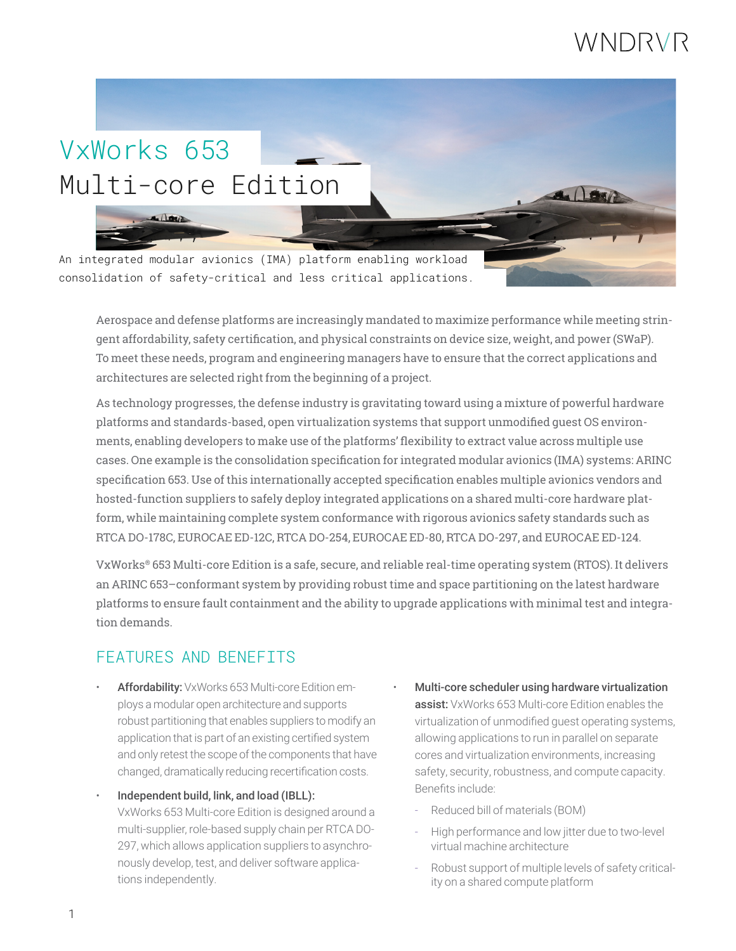## WNDRVR

# VxWorks 653 Multi-core Edition  $-100$ An integrated modular avionics (IMA) platform enabling workload consolidation of safety-critical and less critical applications.

Aerospace and defense platforms are increasingly mandated to maximize performance while meeting stringent affordability, safety certification, and physical constraints on device size, weight, and power (SWaP). To meet these needs, program and engineering managers have to ensure that the correct applications and architectures are selected right from the beginning of a project.

As technology progresses, the defense industry is gravitating toward using a mixture of powerful hardware platforms and standards-based, open virtualization systems that support unmodified guest OS environments, enabling developers to make use of the platforms' flexibility to extract value across multiple use cases. One example is the consolidation specification for integrated modular avionics (IMA) systems: ARINC specification 653. Use of this internationally accepted specification enables multiple avionics vendors and hosted-function suppliers to safely deploy integrated applications on a shared multi-core hardware platform, while maintaining complete system conformance with rigorous avionics safety standards such as RTCA DO-178C, EUROCAE ED-12C, RTCA DO-254, EUROCAE ED-80, RTCA DO-297, and EUROCAE ED-124.

VxWorks® 653 Multi-core Edition is a safe, secure, and reliable real-time operating system (RTOS). It delivers an ARINC 653–conformant system by providing robust time and space partitioning on the latest hardware platforms to ensure fault containment and the ability to upgrade applications with minimal test and integration demands.

### FEATURES AND BENEFITS

- Affordability: VxWorks 653 Multi-core Edition employs a modular open architecture and supports robust partitioning that enables suppliers to modify an application that is part of an existing certified system and only retest the scope of the components that have changed, dramatically reducing recertification costs.
- Independent build, link, and load (IBLL): VxWorks 653 Multi-core Edition is designed around a multi-supplier, role-based supply chain per RTCA DO-297, which allows application suppliers to asynchronously develop, test, and deliver software applications independently.
- Multi-core scheduler using hardware virtualization assist: VxWorks 653 Multi-core Edition enables the virtualization of unmodified guest operating systems, allowing applications to run in parallel on separate cores and virtualization environments, increasing safety, security, robustness, and compute capacity. Benefits include:
	- Reduced bill of materials (BOM)
	- High performance and low jitter due to two-level virtual machine architecture
	- Robust support of multiple levels of safety criticality on a shared compute platform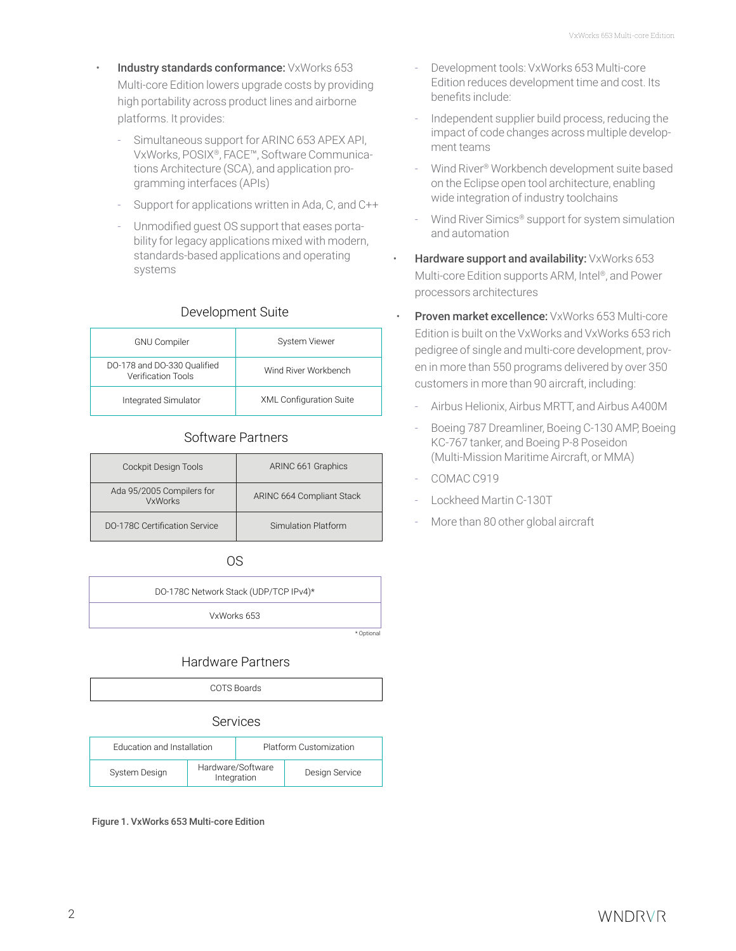- Industry standards conformance: VxWorks 653 Multi-core Edition lowers upgrade costs by providing high portability across product lines and airborne platforms. It provides:
	- Simultaneous support for ARINC 653 APEX API, VxWorks, POSIX®, FACE™, Software Communications Architecture (SCA), and application programming interfaces (APIs)
	- Support for applications written in Ada, C, and C++
	- Unmodified guest OS support that eases portability for legacy applications mixed with modern, standards-based applications and operating systems

### Development Suite

| <b>GNU Compiler</b>                                      | System Viewer                  |  |
|----------------------------------------------------------|--------------------------------|--|
| DO-178 and DO-330 Qualified<br><b>Verification Tools</b> | Wind River Workbench           |  |
| Integrated Simulator                                     | <b>XML Configuration Suite</b> |  |

### Software Partners

| Cockpit Design Tools                        | ARINC 661 Graphics        |  |
|---------------------------------------------|---------------------------|--|
| Ada 95/2005 Compilers for<br><b>VxWorks</b> | ARINC 664 Compliant Stack |  |
| DO-178C Certification Service               | Simulation Platform       |  |

OS

| DO-178C Network Stack (UDP/TCP IPv4)* |  |
|---------------------------------------|--|
| VxWorks 653                           |  |
|                                       |  |

### Hardware Partners



#### Services

| <b>Education and Installation</b> |                                  | Platform Customization |                |
|-----------------------------------|----------------------------------|------------------------|----------------|
| System Design                     | Hardware/Software<br>Integration |                        | Design Service |

Figure 1. VxWorks 653 Multi-core Edition

- Development tools: VxWorks 653 Multi-core Edition reduces development time and cost. Its benefits include:
- Independent supplier build process, reducing the impact of code changes across multiple development teams
- Wind River® Workbench development suite based on the Eclipse open tool architecture, enabling wide integration of industry toolchains
- Wind River Simics<sup>®</sup> support for system simulation and automation
- Hardware support and availability: VxWorks 653 Multi-core Edition supports ARM, Intel®, and Power processors architectures
- **Proven market excellence:** VxWorks 653 Multi-core Edition is built on the VxWorks and VxWorks 653 rich pedigree of single and multi-core development, proven in more than 550 programs delivered by over 350 customers in more than 90 aircraft, including:
	- Airbus Helionix, Airbus MRTT, and Airbus A400M
	- Boeing 787 Dreamliner, Boeing C-130 AMP, Boeing KC-767 tanker, and Boeing P-8 Poseidon (Multi-Mission Maritime Aircraft, or MMA)
	- COMAC C919
	- Lockheed Martin C-130T
	- More than 80 other global aircraft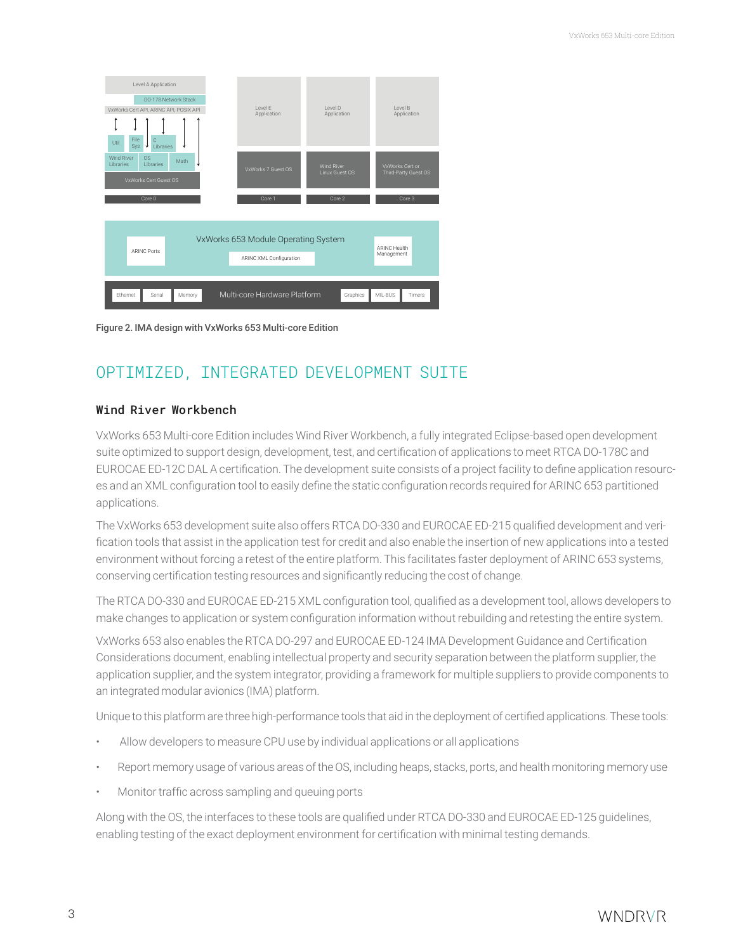| Level A Application<br>DO-178 Network Stack<br>VxWorks Cert API, ARINC API, POSIX API<br>File<br>C<br>Util<br>Sys<br>Libraries<br>* | Level F<br>Application                                  | Level D<br>Application                        | Level B<br>Application                            |  |  |  |  |
|-------------------------------------------------------------------------------------------------------------------------------------|---------------------------------------------------------|-----------------------------------------------|---------------------------------------------------|--|--|--|--|
| <b>Wind River</b><br><b>OS</b><br>Math<br><b>Libraries</b><br><b>Libraries</b><br>VxWorks Cert Guest OS<br>Core 0                   | VxWorks 7 Guest OS<br>Core 1                            | <b>Wind River</b><br>Linux Guest OS<br>Core 2 | VxWorks Cert or<br>Third-Party Guest OS<br>Core 3 |  |  |  |  |
| VxWorks 653 Module Operating System<br><b>ARINC Health</b><br><b>ARINC Ports</b><br>Management                                      |                                                         |                                               |                                                   |  |  |  |  |
| Ethernet<br>Serial<br>Memory                                                                                                        | ARINC XML Configuration<br>Multi-core Hardware Platform | Graphics                                      | MIL-BUS<br>Timers                                 |  |  |  |  |

Figure 2. IMA design with VxWorks 653 Multi-core Edition

### OPTIMIZED, INTEGRATED DEVELOPMENT SUITE

### Wind River Workbench

VxWorks 653 Multi-core Edition includes Wind River Workbench, a fully integrated Eclipse-based open development suite optimized to support design, development, test, and certification of applications to meet RTCA DO-178C and EUROCAE ED-12C DAL A certification. The development suite consists of a project facility to define application resources and an XML configuration tool to easily define the static configuration records required for ARINC 653 partitioned applications.

The VxWorks 653 development suite also offers RTCA DO-330 and EUROCAE ED-215 qualified development and verification tools that assist in the application test for credit and also enable the insertion of new applications into a tested environment without forcing a retest of the entire platform. This facilitates faster deployment of ARINC 653 systems, conserving certification testing resources and significantly reducing the cost of change.

The RTCA DO-330 and EUROCAE ED-215 XML configuration tool, qualified as a development tool, allows developers to make changes to application or system configuration information without rebuilding and retesting the entire system.

VxWorks 653 also enables the RTCA DO-297 and EUROCAE ED-124 IMA Development Guidance and Certification Considerations document, enabling intellectual property and security separation between the platform supplier, the application supplier, and the system integrator, providing a framework for multiple suppliers to provide components to an integrated modular avionics (IMA) platform.

Unique to this platform are three high-performance tools that aid in the deployment of certified applications. These tools:

- Allow developers to measure CPU use by individual applications or all applications
- Report memory usage of various areas of the OS, including heaps, stacks, ports, and health monitoring memory use
- Monitor traffic across sampling and queuing ports

Along with the OS, the interfaces to these tools are qualified under RTCA DO-330 and EUROCAE ED-125 guidelines, enabling testing of the exact deployment environment for certification with minimal testing demands.